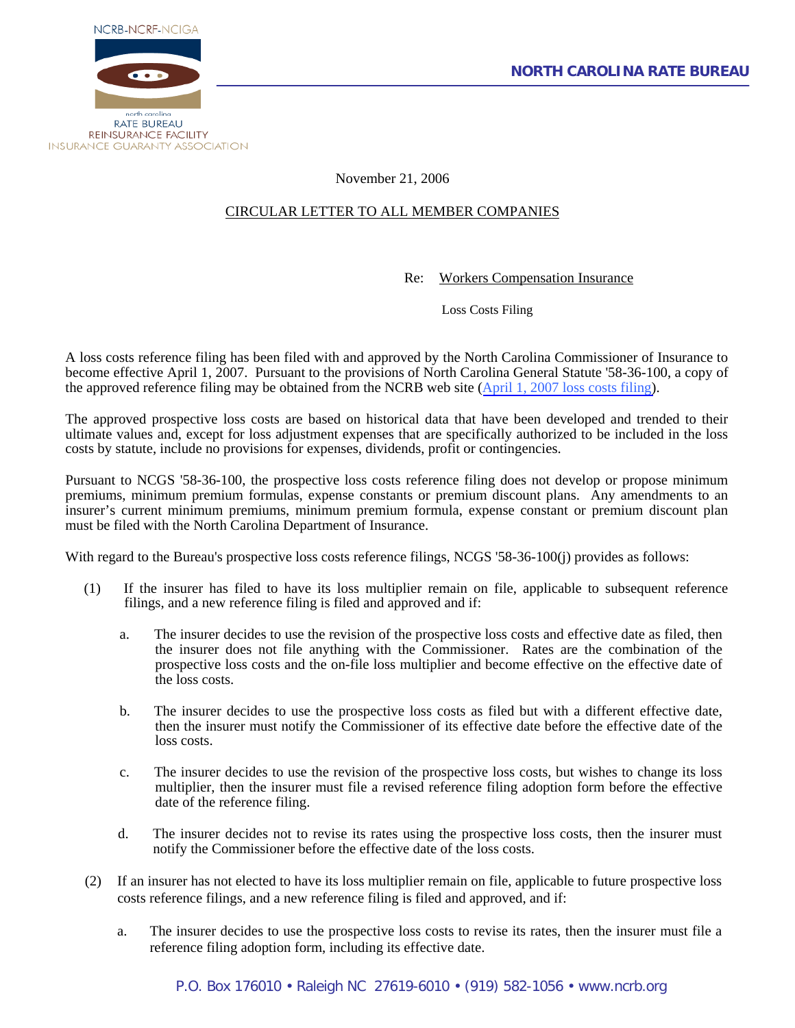

November 21, 2006

## CIRCULAR LETTER TO ALL MEMBER COMPANIES

Re: Workers Compensation Insurance

Loss Costs Filing

A loss costs reference filing has been filed with and approved by the North Carolina Commissioner of Insurance to become effective April 1, 2007. Pursuant to the provisions of North Carolina General Statute '58-36-100, a copy of the approved reference filing may be obtained from the NCRB web site ([April 1, 2007 loss costs filing\)](http://www.ncrb.org/ncrb/workers%20comp%20services/loss%20costs%20&%20assigned%20risk%20rates/2007%20Approved%20Loss%20Cost%20Rate%20Filing.pdf).

The approved prospective loss costs are based on historical data that have been developed and trended to their ultimate values and, except for loss adjustment expenses that are specifically authorized to be included in the loss costs by statute, include no provisions for expenses, dividends, profit or contingencies.

Pursuant to NCGS '58-36-100, the prospective loss costs reference filing does not develop or propose minimum premiums, minimum premium formulas, expense constants or premium discount plans. Any amendments to an insurer's current minimum premiums, minimum premium formula, expense constant or premium discount plan must be filed with the North Carolina Department of Insurance.

With regard to the Bureau's prospective loss costs reference filings, NCGS '58-36-100(j) provides as follows:

- (1) If the insurer has filed to have its loss multiplier remain on file, applicable to subsequent reference filings, and a new reference filing is filed and approved and if:
	- a. The insurer decides to use the revision of the prospective loss costs and effective date as filed, then the insurer does not file anything with the Commissioner. Rates are the combination of the prospective loss costs and the on-file loss multiplier and become effective on the effective date of the loss costs.
	- b. The insurer decides to use the prospective loss costs as filed but with a different effective date, then the insurer must notify the Commissioner of its effective date before the effective date of the loss costs.
	- c. The insurer decides to use the revision of the prospective loss costs, but wishes to change its loss multiplier, then the insurer must file a revised reference filing adoption form before the effective date of the reference filing.
	- d. The insurer decides not to revise its rates using the prospective loss costs, then the insurer must notify the Commissioner before the effective date of the loss costs.
- (2) If an insurer has not elected to have its loss multiplier remain on file, applicable to future prospective loss costs reference filings, and a new reference filing is filed and approved, and if:
	- a. The insurer decides to use the prospective loss costs to revise its rates, then the insurer must file a reference filing adoption form, including its effective date.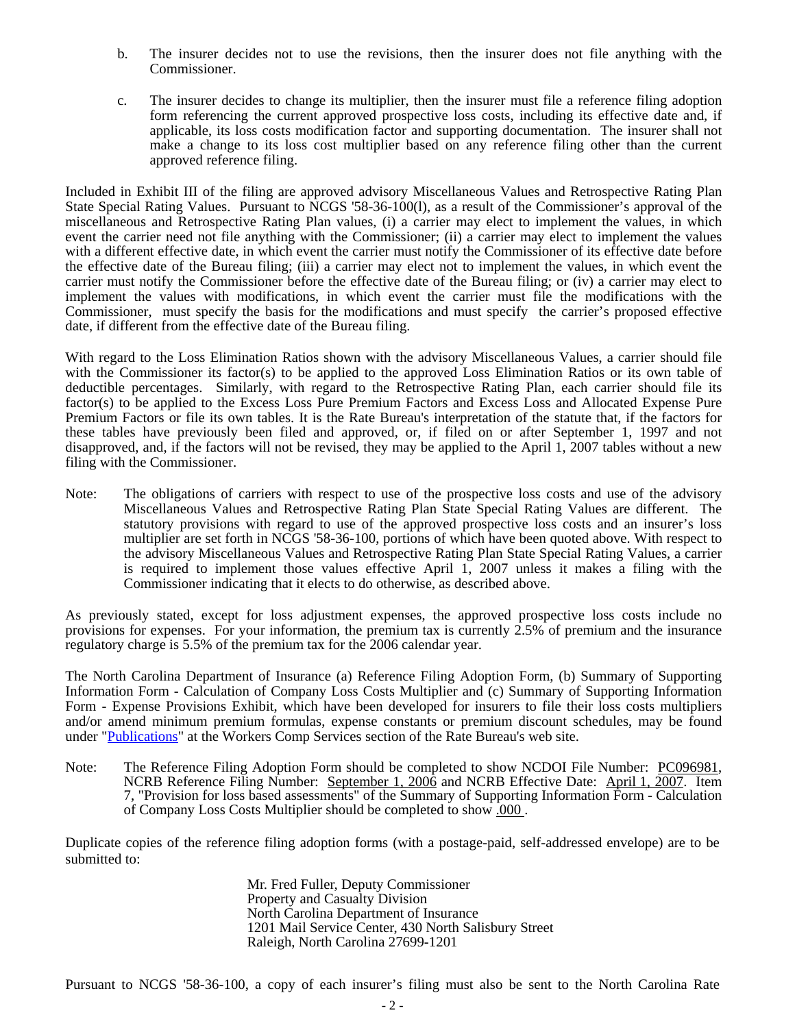- b. The insurer decides not to use the revisions, then the insurer does not file anything with the Commissioner.
- c. The insurer decides to change its multiplier, then the insurer must file a reference filing adoption form referencing the current approved prospective loss costs, including its effective date and, if applicable, its loss costs modification factor and supporting documentation. The insurer shall not make a change to its loss cost multiplier based on any reference filing other than the current approved reference filing.

Included in Exhibit III of the filing are approved advisory Miscellaneous Values and Retrospective Rating Plan State Special Rating Values. Pursuant to NCGS '58-36-100(l), as a result of the Commissioner's approval of the miscellaneous and Retrospective Rating Plan values, (i) a carrier may elect to implement the values, in which event the carrier need not file anything with the Commissioner; (ii) a carrier may elect to implement the values with a different effective date, in which event the carrier must notify the Commissioner of its effective date before the effective date of the Bureau filing; (iii) a carrier may elect not to implement the values, in which event the carrier must notify the Commissioner before the effective date of the Bureau filing; or (iv) a carrier may elect to implement the values with modifications, in which event the carrier must file the modifications with the Commissioner, must specify the basis for the modifications and must specify the carrier's proposed effective date, if different from the effective date of the Bureau filing.

With regard to the Loss Elimination Ratios shown with the advisory Miscellaneous Values, a carrier should file with the Commissioner its factor(s) to be applied to the approved Loss Elimination Ratios or its own table of deductible percentages. Similarly, with regard to the Retrospective Rating Plan, each carrier should file its factor(s) to be applied to the Excess Loss Pure Premium Factors and Excess Loss and Allocated Expense Pure Premium Factors or file its own tables. It is the Rate Bureau's interpretation of the statute that, if the factors for these tables have previously been filed and approved, or, if filed on or after September 1, 1997 and not disapproved, and, if the factors will not be revised, they may be applied to the April 1, 2007 tables without a new filing with the Commissioner.

Note: The obligations of carriers with respect to use of the prospective loss costs and use of the advisory Miscellaneous Values and Retrospective Rating Plan State Special Rating Values are different. The statutory provisions with regard to use of the approved prospective loss costs and an insurer's loss multiplier are set forth in NCGS '58-36-100, portions of which have been quoted above. With respect to the advisory Miscellaneous Values and Retrospective Rating Plan State Special Rating Values, a carrier is required to implement those values effective April 1, 2007 unless it makes a filing with the Commissioner indicating that it elects to do otherwise, as described above.

As previously stated, except for loss adjustment expenses, the approved prospective loss costs include no provisions for expenses. For your information, the premium tax is currently 2.5% of premium and the insurance regulatory charge is 5.5% of the premium tax for the 2006 calendar year.

The North Carolina Department of Insurance (a) Reference Filing Adoption Form, (b) Summary of Supporting Information Form - Calculation of Company Loss Costs Multiplier and (c) Summary of Supporting Information Form - Expense Provisions Exhibit, which have been developed for insurers to file their loss costs multipliers and/or amend minimum premium formulas, expense constants or premium discount schedules, may be found under "[Publications](http://www.ncrb.org/ncrb/workers%20comp%20services/workers%20comp%20services.htm)" at the Workers Comp Services section of the Rate Bureau's web site.

Note: The Reference Filing Adoption Form should be completed to show NCDOI File Number: PC096981, NCRB Reference Filing Number: September 1, 2006 and NCRB Effective Date: April 1, 2007. Item 7, "Provision for loss based assessments" of the Summary of Supporting Information Form - Calculation of Company Loss Costs Multiplier should be completed to show .000 .

Duplicate copies of the reference filing adoption forms (with a postage-paid, self-addressed envelope) are to be submitted to:

> Mr. Fred Fuller, Deputy Commissioner Property and Casualty Division North Carolina Department of Insurance 1201 Mail Service Center, 430 North Salisbury Street Raleigh, North Carolina 27699-1201

Pursuant to NCGS '58-36-100, a copy of each insurer's filing must also be sent to the North Carolina Rate